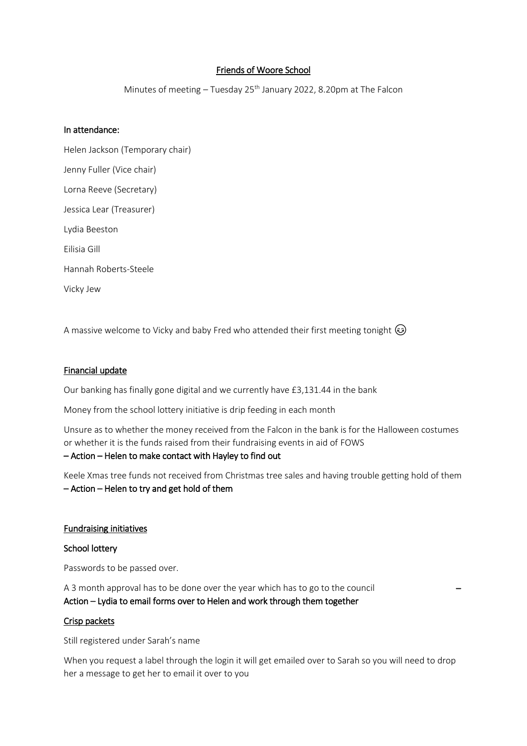# Friends of Woore School

Minutes of meeting - Tuesday 25<sup>th</sup> January 2022, 8.20pm at The Falcon

### In attendance:

Helen Jackson (Temporary chair) Jenny Fuller (Vice chair) Lorna Reeve (Secretary) Jessica Lear (Treasurer) Lydia Beeston Eilisia Gill Hannah Roberts-Steele Vicky Jew

A massive welcome to Vicky and baby Fred who attended their first meeting tonight  $\circledast$ 

### Financial update

Our banking has finally gone digital and we currently have £3,131.44 in the bank

Money from the school lottery initiative is drip feeding in each month

Unsure as to whether the money received from the Falcon in the bank is for the Halloween costumes or whether it is the funds raised from their fundraising events in aid of FOWS

### – Action – Helen to make contact with Hayley to find out

Keele Xmas tree funds not received from Christmas tree sales and having trouble getting hold of them – Action – Helen to try and get hold of them

#### Fundraising initiatives

#### School lottery

Passwords to be passed over.

A 3 month approval has to be done over the year which has to go to the council – Action – Lydia to email forms over to Helen and work through them together

#### Crisp packets

Still registered under Sarah's name

When you request a label through the login it will get emailed over to Sarah so you will need to drop her a message to get her to email it over to you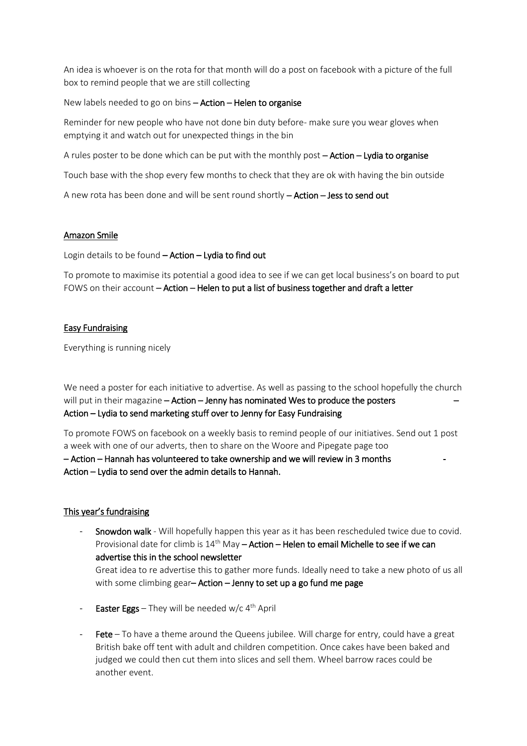An idea is whoever is on the rota for that month will do a post on facebook with a picture of the full box to remind people that we are still collecting

New labels needed to go on bins – Action – Helen to organise

Reminder for new people who have not done bin duty before- make sure you wear gloves when emptying it and watch out for unexpected things in the bin

A rules poster to be done which can be put with the monthly post – Action – Lydia to organise

Touch base with the shop every few months to check that they are ok with having the bin outside

A new rota has been done and will be sent round shortly – Action – Jess to send out

## Amazon Smile

Login details to be found - Action - Lydia to find out

To promote to maximise its potential a good idea to see if we can get local business's on board to put FOWS on their account – Action – Helen to put a list of business together and draft a letter

## Easy Fundraising

Everything is running nicely

We need a poster for each initiative to advertise. As well as passing to the school hopefully the church will put in their magazine – Action – Jenny has nominated Wes to produce the posters Action – Lydia to send marketing stuff over to Jenny for Easy Fundraising

To promote FOWS on facebook on a weekly basis to remind people of our initiatives. Send out 1 post a week with one of our adverts, then to share on the Woore and Pipegate page too

– Action – Hannah has volunteered to take ownership and we will review in 3 months - Action – Lydia to send over the admin details to Hannah.

# This year's fundraising

- Snowdon walk Will hopefully happen this year as it has been rescheduled twice due to covid. Provisional date for climb is  $14^{th}$  May – Action – Helen to email Michelle to see if we can advertise this in the school newsletter Great idea to re advertise this to gather more funds. Ideally need to take a new photo of us all with some climbing gear-Action - Jenny to set up a go fund me page
- Easter Eggs They will be needed w/c 4<sup>th</sup> April
- Fete To have a theme around the Queens jubilee. Will charge for entry, could have a great British bake off tent with adult and children competition. Once cakes have been baked and judged we could then cut them into slices and sell them. Wheel barrow races could be another event.